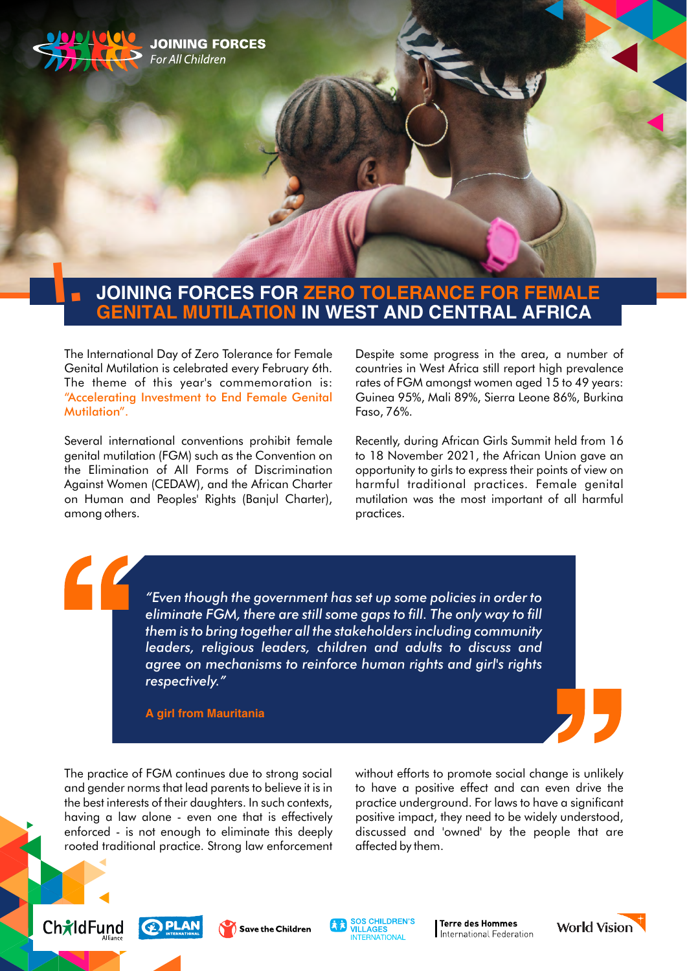

# **JOINING FORCES FOR ZERO TOLERANCE FOR FEMALE GENITAL MUTILATION IN WEST AND CENTRAL AFRICA**

The International Day of Zero Tolerance for Female Genital Mutilation is celebrated every February 6th. The theme of this year's commemoration is: "Accelerating Investment to End Female Genital Mutilation".

Several international conventions prohibit female genital mutilation (FGM) such as the Convention on the Elimination of All Forms of Discrimination Against Women (CEDAW), and the African Charter on Human and Peoples' Rights (Banjul Charter), among others.

Despite some progress in the area, a number of countries in West Africa still report high prevalence rates of FGM amongst women aged 15 to 49 years: Guinea 95%, Mali 89%, Sierra Leone 86%, Burkina Faso, 76%.

Recently, during African Girls Summit held from 16 to 18 November 2021, the African Union gave an opportunity to girls to express their points of view on harmful traditional practices. Female genital mutilation was the most important of all harmful practices.

*"Even though the government has set up some policies in order to*  eliminate FGM, there are still some gaps to fill. The only way to fill *them is to bring together all the stakeholders including community leaders, religious leaders, children and adults to discuss and agree on mechanisms to reinforce human rights and girl's rights respectively."*

**A girl from Mauritania**

The practice of FGM continues due to strong social and gender norms that lead parents to believe it is in the best interests of their daughters. In such contexts, having a law alone - even one that is effectively enforced - is not enough to eliminate this deeply rooted traditional practice. Strong law enforcement without efforts to promote social change is unlikely to have a positive effect and can even drive the practice underground. For laws to have a significant positive impact, they need to be widely understood, discussed and 'owned' by the people that are affected by them.







**I Terre des Hommes** International Federation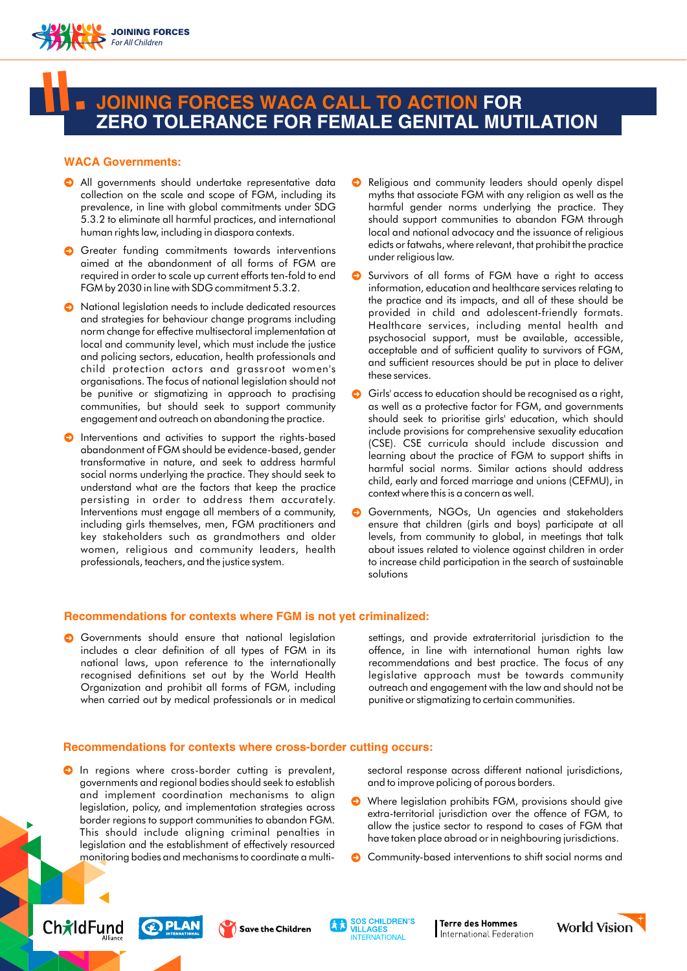

# **JOINING FORCES WACA CALL TO ACTION FOR ZERO TOLERANCE FOR FEMALE GENITAL MUTILATION II.**

## **WACA Governments:**

- All governments should undertake representative data collection on the scale and scope of FGM, including its prevalence, in line with global commitments under SDG 5.3.2 to eliminate all harmful practices, and international human rights law, including in diaspora contexts.
- **G** Greater funding commitments towards interventions aimed at the abandonment of all forms of FGM are required in order to scale up current efforts ten-fold to end FGM by 2030 in line with SDG commitment 5.3.2.
- National legislation needs to include dedicated resources and strategies for behaviour change programs including norm change for effective multisectoral implementation at local and community level, which must include the justice and policing sectors, education, health professionals and child protection actors and grassroot women's organisations. The focus of national legislation should not be punitive or stigmatizing in approach to practising communities, but should seek to support community engagement and outreach on abandoning the practice.
- **O** Interventions and activities to support the rights-based abandonment of FGM should be evidence-based, gender transformative in nature, and seek to address harmful social norms underlying the practice. They should seek to understand what are the factors that keep the practice persisting in order to address them accurately. Interventions must engage all members of a community, including girls themselves, men, FGM practitioners and key stakeholders such as grandmothers and older women, religious and community leaders, health professionals, teachers, and the justice system.
- Religious and community leaders should openly dispel myths that associate FGM with any religion as well as the harmful gender norms underlying the practice. They should support communities to abandon FGM through local and national advocacy and the issuance of religious edicts or fatwahs, where relevant, that prohibit the practice under religious law.
- Survivors of all forms of FGM have a right to access information, education and healthcare services relating to the practice and its impacts, and all of these should be provided in child and adolescent-friendly formats. Healthcare services, including mental health and psychosocial support, must be available, accessible, acceptable and of sufficient quality to survivors of FGM, and sufficient resources should be put in place to deliver these services.
- Girls' access to education should be recognised as a right, as well as a protective factor for FGM, and governments should seek to prioritise girls' education, which should include provisions for comprehensive sexuality education (CSE). CSE curricula should include discussion and learning about the practice of FGM to support shifts in harmful social norms. Similar actions should address child, early and forced marriage and unions (CEFMU), in context where this is a concern as well.
- Governments, NGOs, Un agencies and stakeholders ensure that children (girls and boys) participate at all levels, from community to global, in meetings that talk about issues related to violence against children in order to increase child participation in the search of sustainable solutions

## **Recommendations for contexts where FGM is not yet criminalized:**

Governments should ensure that national legislation includes a clear definition of all types of FGM in its national laws, upon reference to the internationally recognised definitions set out by the World Health Organization and prohibit all forms of FGM, including when carried out by medical professionals or in medical

settings, and provide extraterritorial jurisdiction to the offence, in line with international human rights law recommendations and best practice. The focus of any legislative approach must be towards community outreach and engagement with the law and should not be punitive or stigmatizing to certain communities.

#### **Recommendations for contexts where cross-border cutting occurs:**

**O** In regions where cross-border cutting is prevalent, governments and regional bodies should seek to establish and implement coordination mechanisms to align legislation, policy, and implementation strategies across border regions to support communities to abandon FGM. This should include aligning criminal penalties in legislation and the establishment of effectively resourced monitoring bodies and mechanisms to coordinate a multisectoral response across different national jurisdictions, and to improve policing of porous borders.

- Where legislation prohibits FGM, provisions should give extra-territorial jurisdiction over the offence of FGM, to allow the justice sector to respond to cases of FGM that have taken place abroad or in neighbouring jurisdictions.
- **C** Community-based interventions to shift social norms and









**I Terre des Hommes** International Federation